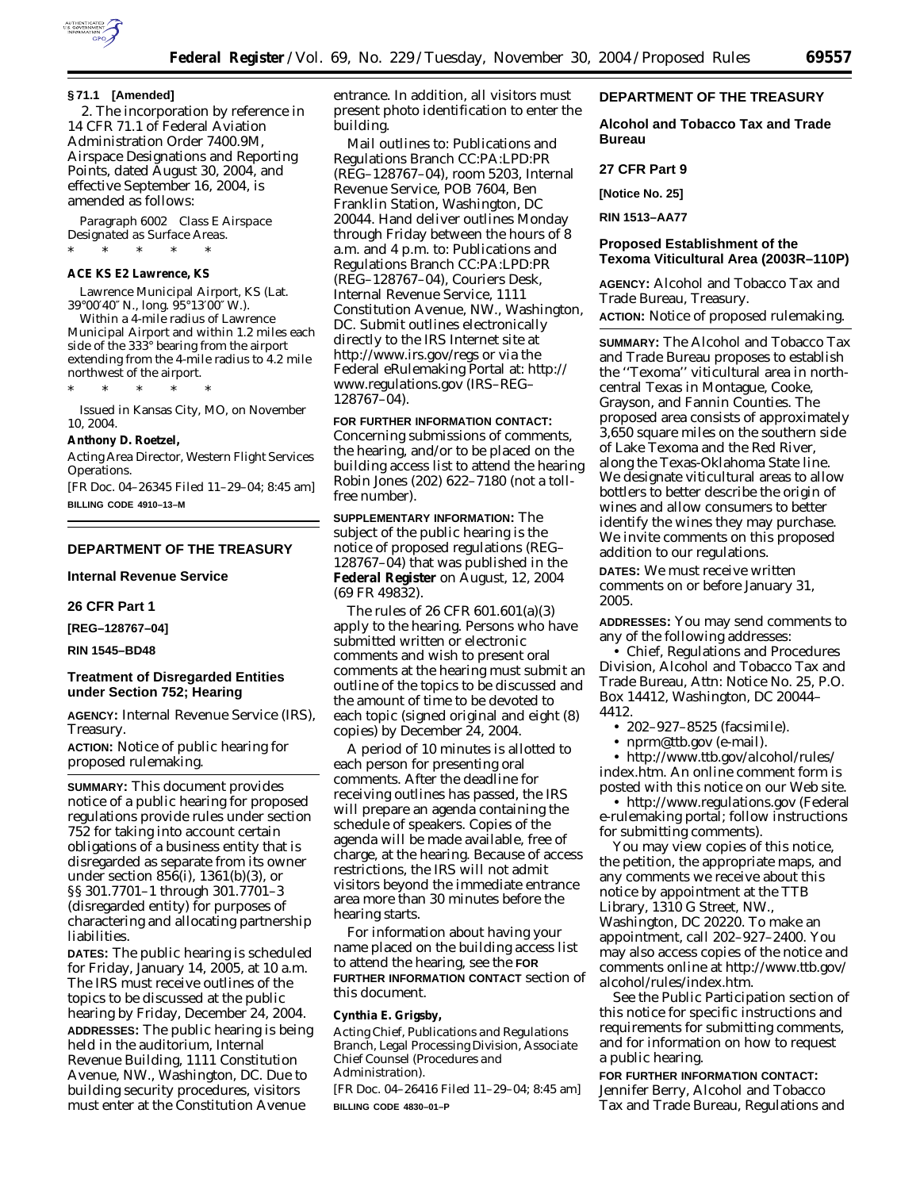

#### **§ 71.1 [Amended]**

2. The incorporation by reference in 14 CFR 71.1 of Federal Aviation Administration Order 7400.9M, Airspace Designations and Reporting Points, dated August 30, 2004, and effective September 16, 2004, is amended as follows:

*Paragraph 6002 Class E Airspace Designated as Surface Areas.* \* \* \* \* \*

#### **ACE KS E2 Lawrence, KS**

Lawrence Municipal Airport, KS (Lat. 39°00′40″ N., long. 95°13′00″W.).

Within a 4-mile radius of Lawrence Municipal Airport and within 1.2 miles each side of the 333° bearing from the airport extending from the 4-mile radius to 4.2 mile northwest of the airport.

\* \* \* \* \*

Issued in Kansas City, MO, on November 10, 2004.

#### **Anthony D. Roetzel,**

*Acting Area Director, Western Flight Services Operations.*

[FR Doc. 04–26345 Filed 11–29–04; 8:45 am] **BILLING CODE 4910–13–M**

## **DEPARTMENT OF THE TREASURY**

**Internal Revenue Service** 

**26 CFR Part 1** 

**[REG–128767–04]** 

**RIN 1545–BD48** 

# **Treatment of Disregarded Entities under Section 752; Hearing**

**AGENCY:** Internal Revenue Service (IRS), Treasury.

**ACTION:** Notice of public hearing for proposed rulemaking.

**SUMMARY:** This document provides notice of a public hearing for proposed regulations provide rules under section 752 for taking into account certain obligations of a business entity that is disregarded as separate from its owner under section 856(*i*), 1361(b)(3), or §§ 301.7701–1 through 301.7701–3 (disregarded entity) for purposes of charactering and allocating partnership liabilities.

**DATES:** The public hearing is scheduled for Friday, January 14, 2005, at 10 a.m. The IRS must receive outlines of the topics to be discussed at the public hearing by Friday, December 24, 2004. **ADDRESSES:** The public hearing is being held in the auditorium, Internal Revenue Building, 1111 Constitution Avenue, NW., Washington, DC. Due to building security procedures, visitors must enter at the Constitution Avenue

entrance. In addition, all visitors must present photo identification to enter the building.

Mail outlines to: Publications and Regulations Branch CC:PA:LPD:PR (REG–128767–04), room 5203, Internal Revenue Service, POB 7604, Ben Franklin Station, Washington, DC 20044. Hand deliver outlines Monday through Friday between the hours of 8 a.m. and 4 p.m. to: Publications and Regulations Branch CC:PA:LPD:PR (REG–128767–04), Couriers Desk, Internal Revenue Service, 1111 Constitution Avenue, NW., Washington, DC. Submit outlines electronically directly to the IRS Internet site at *http://www.irs.gov/regs* or via the Federal eRulemaking Portal at: *http:// www.regulations.gov* (IRS–REG– 128767–04).

**FOR FURTHER INFORMATION CONTACT:**

Concerning submissions of comments, the hearing, and/or to be placed on the building access list to attend the hearing Robin Jones (202) 622–7180 (not a tollfree number).

**SUPPLEMENTARY INFORMATION:** The subject of the public hearing is the notice of proposed regulations (REG– 128767–04) that was published in the **Federal Register** on August, 12, 2004 (69 FR 49832).

The rules of 26 CFR 601.601(a)(3) apply to the hearing. Persons who have submitted written or electronic comments and wish to present oral comments at the hearing must submit an outline of the topics to be discussed and the amount of time to be devoted to each topic (signed original and eight (8) copies) by December 24, 2004.

A period of 10 minutes is allotted to each person for presenting oral comments. After the deadline for receiving outlines has passed, the IRS will prepare an agenda containing the schedule of speakers. Copies of the agenda will be made available, free of charge, at the hearing. Because of access restrictions, the IRS will not admit visitors beyond the immediate entrance area more than 30 minutes before the hearing starts.

For information about having your name placed on the building access list to attend the hearing, see the **FOR FURTHER INFORMATION CONTACT** section of this document.

# **Cynthia E. Grigsby,**

*Acting Chief, Publications and Regulations Branch, Legal Processing Division, Associate Chief Counsel (Procedures and Administration).*

[FR Doc. 04–26416 Filed 11–29–04; 8:45 am] **BILLING CODE 4830–01–P**

# **DEPARTMENT OF THE TREASURY**

**Alcohol and Tobacco Tax and Trade Bureau** 

### **27 CFR Part 9**

**[Notice No. 25]** 

**RIN 1513–AA77** 

## **Proposed Establishment of the Texoma Viticultural Area (2003R–110P)**

**AGENCY:** Alcohol and Tobacco Tax and Trade Bureau, Treasury.

**ACTION:** Notice of proposed rulemaking.

**SUMMARY:** The Alcohol and Tobacco Tax and Trade Bureau proposes to establish the ''Texoma'' viticultural area in northcentral Texas in Montague, Cooke, Grayson, and Fannin Counties. The proposed area consists of approximately 3,650 square miles on the southern side of Lake Texoma and the Red River, along the Texas-Oklahoma State line. We designate viticultural areas to allow bottlers to better describe the origin of wines and allow consumers to better identify the wines they may purchase. We invite comments on this proposed addition to our regulations.

**DATES:** We must receive written comments on or before January 31, 2005.

**ADDRESSES:** You may send comments to any of the following addresses:

• Chief, Regulations and Procedures Division, Alcohol and Tobacco Tax and Trade Bureau, Attn: Notice No. 25, P.O. Box 14412, Washington, DC 20044– 4412.

• 202–927–8525 (facsimile).

• *nprm@ttb.gov* (e-mail).

• *http://www.ttb.gov/alcohol/rules/ index.htm*. An online comment form is posted with this notice on our Web site.

• *http://www.regulations.gov* (Federal e-rulemaking portal; follow instructions for submitting comments).

You may view copies of this notice, the petition, the appropriate maps, and any comments we receive about this notice by appointment at the TTB Library, 1310 G Street, NW., Washington, DC 20220. To make an appointment, call 202–927–2400. You may also access copies of the notice and comments online at *http://www.ttb.gov/ alcohol/rules/index.htm*.

See the Public Participation section of this notice for specific instructions and requirements for submitting comments, and for information on how to request a public hearing.

**FOR FURTHER INFORMATION CONTACT:** Jennifer Berry, Alcohol and Tobacco Tax and Trade Bureau, Regulations and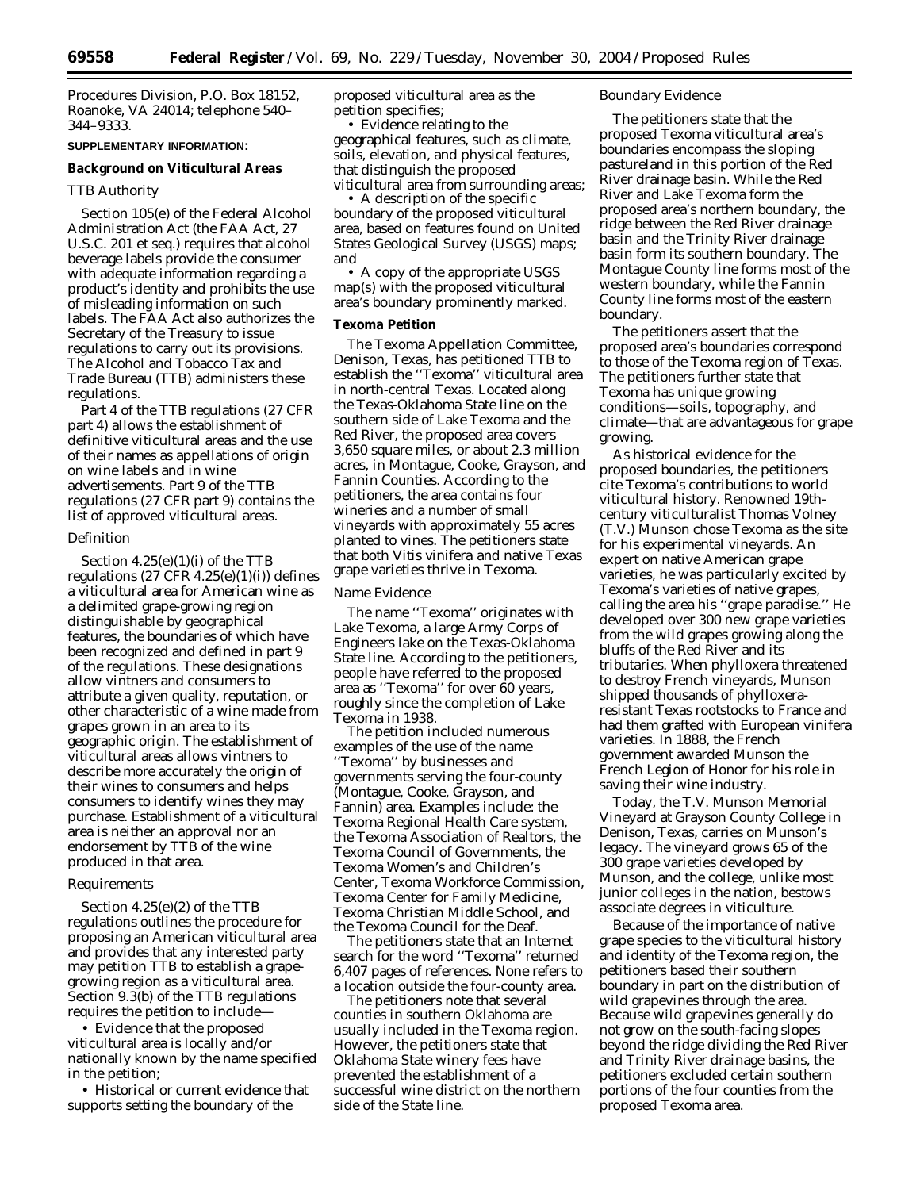Procedures Division, P.O. Box 18152, Roanoke, VA 24014; telephone 540– 344–9333.

# **SUPPLEMENTARY INFORMATION:**

#### **Background on Viticultural Areas**

## *TTB Authority*

Section 105(e) of the Federal Alcohol Administration Act (the FAA Act, 27 U.S.C. 201 *et seq.*) requires that alcohol beverage labels provide the consumer with adequate information regarding a product's identity and prohibits the use of misleading information on such labels. The FAA Act also authorizes the Secretary of the Treasury to issue regulations to carry out its provisions. The Alcohol and Tobacco Tax and Trade Bureau (TTB) administers these regulations.

Part 4 of the TTB regulations (27 CFR part 4) allows the establishment of definitive viticultural areas and the use of their names as appellations of origin on wine labels and in wine advertisements. Part 9 of the TTB regulations (27 CFR part 9) contains the list of approved viticultural areas.

#### *Definition*

Section  $4.25(e)(1)(i)$  of the TTB regulations (27 CFR 4.25(e)(1)(i)) defines a viticultural area for American wine as a delimited grape-growing region distinguishable by geographical features, the boundaries of which have been recognized and defined in part 9 of the regulations. These designations allow vintners and consumers to attribute a given quality, reputation, or other characteristic of a wine made from grapes grown in an area to its geographic origin. The establishment of viticultural areas allows vintners to describe more accurately the origin of their wines to consumers and helps consumers to identify wines they may purchase. Establishment of a viticultural area is neither an approval nor an endorsement by TTB of the wine produced in that area.

## *Requirements*

Section 4.25(e)(2) of the TTB regulations outlines the procedure for proposing an American viticultural area and provides that any interested party may petition TTB to establish a grapegrowing region as a viticultural area. Section 9.3(b) of the TTB regulations requires the petition to include—

• Evidence that the proposed viticultural area is locally and/or nationally known by the name specified in the petition;

• Historical or current evidence that supports setting the boundary of the

proposed viticultural area as the petition specifies;

• Evidence relating to the geographical features, such as climate, soils, elevation, and physical features, that distinguish the proposed viticultural area from surrounding areas;

• A description of the specific boundary of the proposed viticultural area, based on features found on United States Geological Survey (USGS) maps; and

• A copy of the appropriate USGS map(s) with the proposed viticultural area's boundary prominently marked.

# **Texoma Petition**

The Texoma Appellation Committee, Denison, Texas, has petitioned TTB to establish the ''Texoma'' viticultural area in north-central Texas. Located along the Texas-Oklahoma State line on the southern side of Lake Texoma and the Red River, the proposed area covers 3,650 square miles, or about 2.3 million acres, in Montague, Cooke, Grayson, and Fannin Counties. According to the petitioners, the area contains four wineries and a number of small vineyards with approximately 55 acres planted to vines. The petitioners state that both *Vitis vinifera* and native Texas grape varieties thrive in Texoma.

### *Name Evidence*

The name ''Texoma'' originates with Lake Texoma, a large Army Corps of Engineers lake on the Texas-Oklahoma State line. According to the petitioners, people have referred to the proposed area as ''Texoma'' for over 60 years, roughly since the completion of Lake Texoma in 1938.

The petition included numerous examples of the use of the name ''Texoma'' by businesses and governments serving the four-county (Montague, Cooke, Grayson, and Fannin) area. Examples include: the Texoma Regional Health Care system, the Texoma Association of Realtors, the Texoma Council of Governments, the Texoma Women's and Children's Center, Texoma Workforce Commission, Texoma Center for Family Medicine, Texoma Christian Middle School, and the Texoma Council for the Deaf.

The petitioners state that an Internet search for the word ''Texoma'' returned 6,407 pages of references. None refers to a location outside the four-county area.

The petitioners note that several counties in southern Oklahoma are usually included in the Texoma region. However, the petitioners state that Oklahoma State winery fees have prevented the establishment of a successful wine district on the northern side of the State line.

### *Boundary Evidence*

The petitioners state that the proposed Texoma viticultural area's boundaries encompass the sloping pastureland in this portion of the Red River drainage basin. While the Red River and Lake Texoma form the proposed area's northern boundary, the ridge between the Red River drainage basin and the Trinity River drainage basin form its southern boundary. The Montague County line forms most of the western boundary, while the Fannin County line forms most of the eastern boundary.

The petitioners assert that the proposed area's boundaries correspond to those of the Texoma region of Texas. The petitioners further state that Texoma has unique growing conditions—soils, topography, and climate—that are advantageous for grape growing.

As historical evidence for the proposed boundaries, the petitioners cite Texoma's contributions to world viticultural history. Renowned 19thcentury viticulturalist Thomas Volney (T.V.) Munson chose Texoma as the site for his experimental vineyards. An expert on native American grape varieties, he was particularly excited by Texoma's varieties of native grapes, calling the area his ''grape paradise.'' He developed over 300 new grape varieties from the wild grapes growing along the bluffs of the Red River and its tributaries. When phylloxera threatened to destroy French vineyards, Munson shipped thousands of phylloxeraresistant Texas rootstocks to France and had them grafted with European vinifera varieties. In 1888, the French government awarded Munson the French Legion of Honor for his role in saving their wine industry.

Today, the T.V. Munson Memorial Vineyard at Grayson County College in Denison, Texas, carries on Munson's legacy. The vineyard grows 65 of the 300 grape varieties developed by Munson, and the college, unlike most junior colleges in the nation, bestows associate degrees in viticulture.

Because of the importance of native grape species to the viticultural history and identity of the Texoma region, the petitioners based their southern boundary in part on the distribution of wild grapevines through the area. Because wild grapevines generally do not grow on the south-facing slopes beyond the ridge dividing the Red River and Trinity River drainage basins, the petitioners excluded certain southern portions of the four counties from the proposed Texoma area.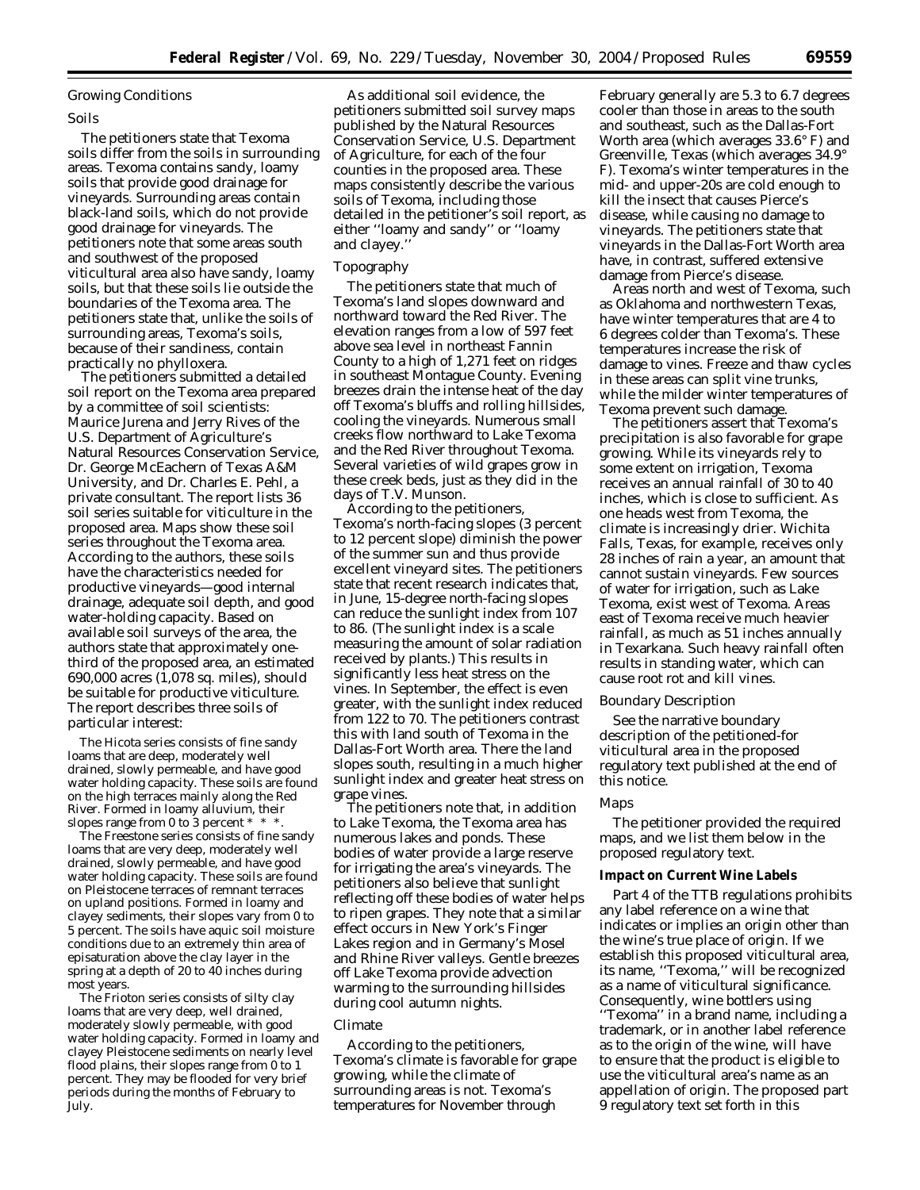### *Growing Conditions*

#### Soils

The petitioners state that Texoma soils differ from the soils in surrounding areas. Texoma contains sandy, loamy soils that provide good drainage for vineyards. Surrounding areas contain black-land soils, which do not provide good drainage for vineyards. The petitioners note that some areas south and southwest of the proposed viticultural area also have sandy, loamy soils, but that these soils lie outside the boundaries of the Texoma area. The petitioners state that, unlike the soils of surrounding areas, Texoma's soils, because of their sandiness, contain practically no phylloxera.

The petitioners submitted a detailed soil report on the Texoma area prepared by a committee of soil scientists: Maurice Jurena and Jerry Rives of the U.S. Department of Agriculture's Natural Resources Conservation Service, Dr. George McEachern of Texas A&M University, and Dr. Charles E. Pehl, a private consultant. The report lists 36 soil series suitable for viticulture in the proposed area. Maps show these soil series throughout the Texoma area. According to the authors, these soils have the characteristics needed for productive vineyards—good internal drainage, adequate soil depth, and good water-holding capacity. Based on available soil surveys of the area, the authors state that approximately onethird of the proposed area, an estimated 690,000 acres (1,078 sq. miles), should be suitable for productive viticulture. The report describes three soils of particular interest:

The Hicota series consists of fine sandy loams that are deep, moderately well drained, slowly permeable, and have good water holding capacity. These soils are found on the high terraces mainly along the Red River. Formed in loamy alluvium, their slopes range from 0 to 3 percent  $* * *$ .

The Freestone series consists of fine sandy loams that are very deep, moderately well drained, slowly permeable, and have good water holding capacity. These soils are found on Pleistocene terraces of remnant terraces on upland positions. Formed in loamy and clayey sediments, their slopes vary from 0 to 5 percent. The soils have aquic soil moisture conditions due to an extremely thin area of episaturation above the clay layer in the spring at a depth of 20 to 40 inches during most years.

The Frioton series consists of silty clay loams that are very deep, well drained, moderately slowly permeable, with good water holding capacity. Formed in loamy and clayey Pleistocene sediments on nearly level flood plains, their slopes range from 0 to 1 percent. They may be flooded for very brief periods during the months of February to July.

As additional soil evidence, the petitioners submitted soil survey maps published by the Natural Resources Conservation Service, U.S. Department of Agriculture, for each of the four counties in the proposed area. These maps consistently describe the various soils of Texoma, including those detailed in the petitioner's soil report, as either ''loamy and sandy'' or ''loamy and clayey.''

### Topography

The petitioners state that much of Texoma's land slopes downward and northward toward the Red River. The elevation ranges from a low of 597 feet above sea level in northeast Fannin County to a high of 1,271 feet on ridges in southeast Montague County. Evening breezes drain the intense heat of the day off Texoma's bluffs and rolling hillsides, cooling the vineyards. Numerous small creeks flow northward to Lake Texoma and the Red River throughout Texoma. Several varieties of wild grapes grow in these creek beds, just as they did in the days of T.V. Munson.

According to the petitioners, Texoma's north-facing slopes (3 percent to 12 percent slope) diminish the power of the summer sun and thus provide excellent vineyard sites. The petitioners state that recent research indicates that, in June, 15-degree north-facing slopes can reduce the sunlight index from 107 to 86. (The sunlight index is a scale measuring the amount of solar radiation received by plants.) This results in significantly less heat stress on the vines. In September, the effect is even greater, with the sunlight index reduced from 122 to 70. The petitioners contrast this with land south of Texoma in the Dallas-Fort Worth area. There the land slopes south, resulting in a much higher sunlight index and greater heat stress on grape vines.

The petitioners note that, in addition to Lake Texoma, the Texoma area has numerous lakes and ponds. These bodies of water provide a large reserve for irrigating the area's vineyards. The petitioners also believe that sunlight reflecting off these bodies of water helps to ripen grapes. They note that a similar effect occurs in New York's Finger Lakes region and in Germany's Mosel and Rhine River valleys. Gentle breezes off Lake Texoma provide advection warming to the surrounding hillsides during cool autumn nights.

#### Climate

According to the petitioners, Texoma's climate is favorable for grape growing, while the climate of surrounding areas is not. Texoma's temperatures for November through

February generally are 5.3 to 6.7 degrees cooler than those in areas to the south and southeast, such as the Dallas-Fort Worth area (which averages 33.6° F) and Greenville, Texas (which averages 34.9° F). Texoma's winter temperatures in the mid- and upper-20s are cold enough to kill the insect that causes Pierce's disease, while causing no damage to vineyards. The petitioners state that vineyards in the Dallas-Fort Worth area have, in contrast, suffered extensive damage from Pierce's disease.

Areas north and west of Texoma, such as Oklahoma and northwestern Texas, have winter temperatures that are 4 to 6 degrees colder than Texoma's. These temperatures increase the risk of damage to vines. Freeze and thaw cycles in these areas can split vine trunks, while the milder winter temperatures of Texoma prevent such damage.

The petitioners assert that Texoma's precipitation is also favorable for grape growing. While its vineyards rely to some extent on irrigation, Texoma receives an annual rainfall of 30 to 40 inches, which is close to sufficient. As one heads west from Texoma, the climate is increasingly drier. Wichita Falls, Texas, for example, receives only 28 inches of rain a year, an amount that cannot sustain vineyards. Few sources of water for irrigation, such as Lake Texoma, exist west of Texoma. Areas east of Texoma receive much heavier rainfall, as much as 51 inches annually in Texarkana. Such heavy rainfall often results in standing water, which can cause root rot and kill vines.

### *Boundary Description*

See the narrative boundary description of the petitioned-for viticultural area in the proposed regulatory text published at the end of this notice.

#### *Maps*

The petitioner provided the required maps, and we list them below in the proposed regulatory text.

#### **Impact on Current Wine Labels**

Part 4 of the TTB regulations prohibits any label reference on a wine that indicates or implies an origin other than the wine's true place of origin. If we establish this proposed viticultural area, its name, ''Texoma,'' will be recognized as a name of viticultural significance. Consequently, wine bottlers using ''Texoma'' in a brand name, including a trademark, or in another label reference as to the origin of the wine, will have to ensure that the product is eligible to use the viticultural area's name as an appellation of origin. The proposed part 9 regulatory text set forth in this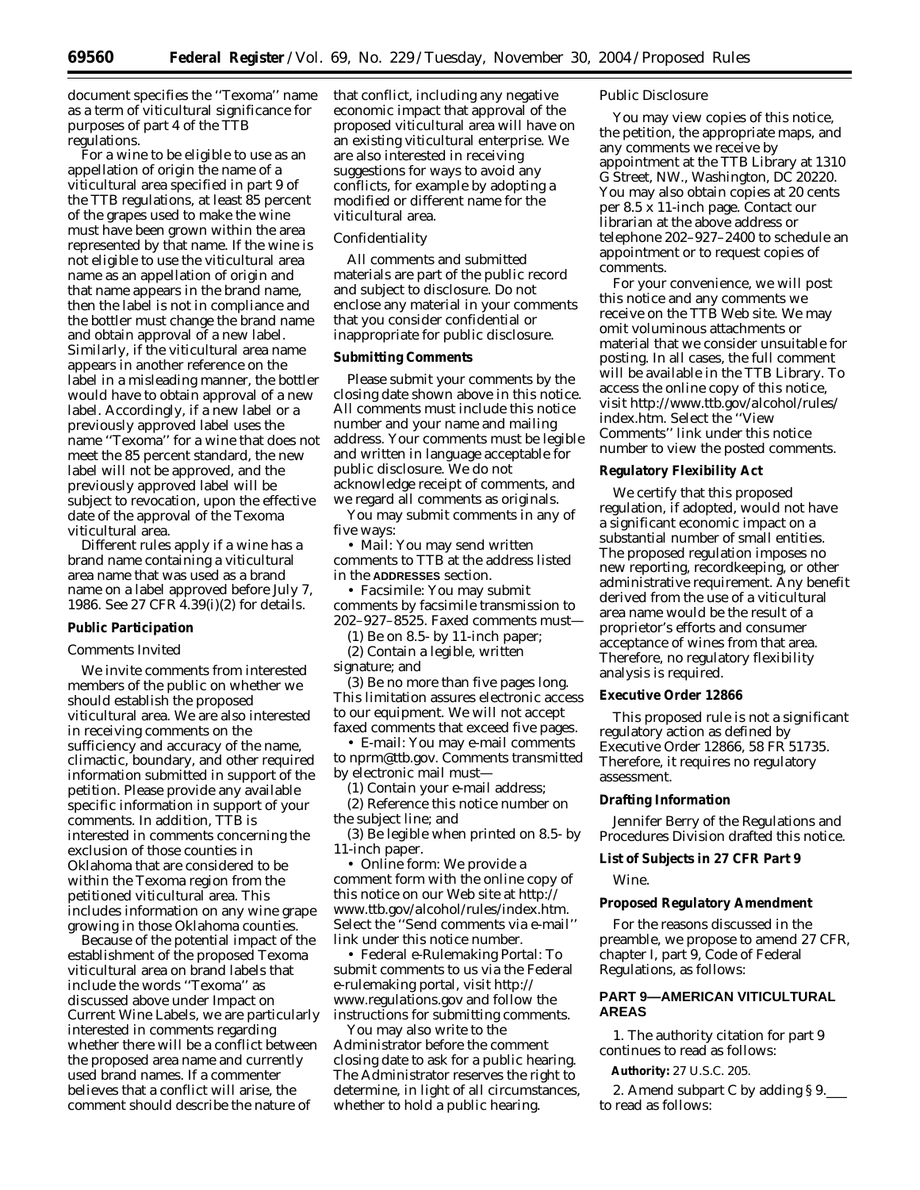document specifies the ''Texoma'' name as a term of viticultural significance for purposes of part 4 of the TTB regulations.

For a wine to be eligible to use as an appellation of origin the name of a viticultural area specified in part 9 of the TTB regulations, at least 85 percent of the grapes used to make the wine must have been grown within the area represented by that name. If the wine is not eligible to use the viticultural area name as an appellation of origin and that name appears in the brand name, then the label is not in compliance and the bottler must change the brand name and obtain approval of a new label. Similarly, if the viticultural area name appears in another reference on the label in a misleading manner, the bottler would have to obtain approval of a new label. Accordingly, if a new label or a previously approved label uses the name ''Texoma'' for a wine that does not meet the 85 percent standard, the new label will not be approved, and the previously approved label will be subject to revocation, upon the effective date of the approval of the Texoma viticultural area.

Different rules apply if a wine has a brand name containing a viticultural area name that was used as a brand name on a label approved before July 7, 1986. See 27 CFR 4.39(i)(2) for details.

## **Public Participation**

### *Comments Invited*

We invite comments from interested members of the public on whether we should establish the proposed viticultural area. We are also interested in receiving comments on the sufficiency and accuracy of the name, climactic, boundary, and other required information submitted in support of the petition. Please provide any available specific information in support of your comments. In addition, TTB is interested in comments concerning the exclusion of those counties in Oklahoma that are considered to be within the Texoma region from the petitioned viticultural area. This includes information on any wine grape growing in those Oklahoma counties.

Because of the potential impact of the establishment of the proposed Texoma viticultural area on brand labels that include the words ''Texoma'' as discussed above under Impact on Current Wine Labels, we are particularly interested in comments regarding whether there will be a conflict between the proposed area name and currently used brand names. If a commenter believes that a conflict will arise, the comment should describe the nature of

that conflict, including any negative economic impact that approval of the proposed viticultural area will have on an existing viticultural enterprise. We are also interested in receiving suggestions for ways to avoid any conflicts, for example by adopting a modified or different name for the viticultural area.

#### *Confidentiality*

All comments and submitted materials are part of the public record and subject to disclosure. Do not enclose any material in your comments that you consider confidential or inappropriate for public disclosure.

### **Submitting Comments**

Please submit your comments by the closing date shown above in this notice. All comments must include this notice number and your name and mailing address. Your comments must be legible and written in language acceptable for public disclosure. We do not acknowledge receipt of comments, and we regard all comments as originals.

You may submit comments in any of five ways:

• *Mail:* You may send written comments to TTB at the address listed in the **ADDRESSES** section.

• *Facsimile:* You may submit comments by facsimile transmission to 202–927–8525. Faxed comments must—

(1) Be on 8.5- by 11-inch paper; (2) Contain a legible, written signature; and

(3) Be no more than five pages long. This limitation assures electronic access to our equipment. We will not accept faxed comments that exceed five pages.

• *E-mail:* You may e-mail comments to *nprm@ttb.gov*. Comments transmitted by electronic mail must—

(1) Contain your e-mail address; (2) Reference this notice number on the subject line; and

(3) Be legible when printed on 8.5- by 11-inch paper.

• *Online form:* We provide a comment form with the online copy of this notice on our Web site at *http:// www.ttb.gov/alcohol/rules/index.htm*. Select the ''Send comments via e-mail'' link under this notice number.

• *Federal e-Rulemaking Portal:* To submit comments to us via the Federal e-rulemaking portal, visit *http:// www.regulations.gov* and follow the instructions for submitting comments.

You may also write to the Administrator before the comment closing date to ask for a public hearing. The Administrator reserves the right to determine, in light of all circumstances, whether to hold a public hearing.

## *Public Disclosure*

You may view copies of this notice, the petition, the appropriate maps, and any comments we receive by appointment at the TTB Library at 1310 G Street, NW., Washington, DC 20220. You may also obtain copies at 20 cents per 8.5 x 11-inch page. Contact our librarian at the above address or telephone 202–927–2400 to schedule an appointment or to request copies of comments.

For your convenience, we will post this notice and any comments we receive on the TTB Web site. We may omit voluminous attachments or material that we consider unsuitable for posting. In all cases, the full comment will be available in the TTB Library. To access the online copy of this notice, visit *http://www.ttb.gov/alcohol/rules/ index.htm*. Select the ''View Comments'' link under this notice number to view the posted comments.

# **Regulatory Flexibility Act**

We certify that this proposed regulation, if adopted, would not have a significant economic impact on a substantial number of small entities. The proposed regulation imposes no new reporting, recordkeeping, or other administrative requirement. Any benefit derived from the use of a viticultural area name would be the result of a proprietor's efforts and consumer acceptance of wines from that area. Therefore, no regulatory flexibility analysis is required.

### **Executive Order 12866**

This proposed rule is not a significant regulatory action as defined by Executive Order 12866, 58 FR 51735. Therefore, it requires no regulatory assessment.

#### **Drafting Information**

Jennifer Berry of the Regulations and Procedures Division drafted this notice.

## **List of Subjects in 27 CFR Part 9**

Wine.

# **Proposed Regulatory Amendment**

For the reasons discussed in the preamble, we propose to amend 27 CFR, chapter I, part 9, Code of Federal Regulations, as follows:

# **PART 9—AMERICAN VITICULTURAL AREAS**

1. The authority citation for part 9 continues to read as follows:

**Authority:** 27 U.S.C. 205.

2. Amend subpart C by adding § 9. to read as follows: